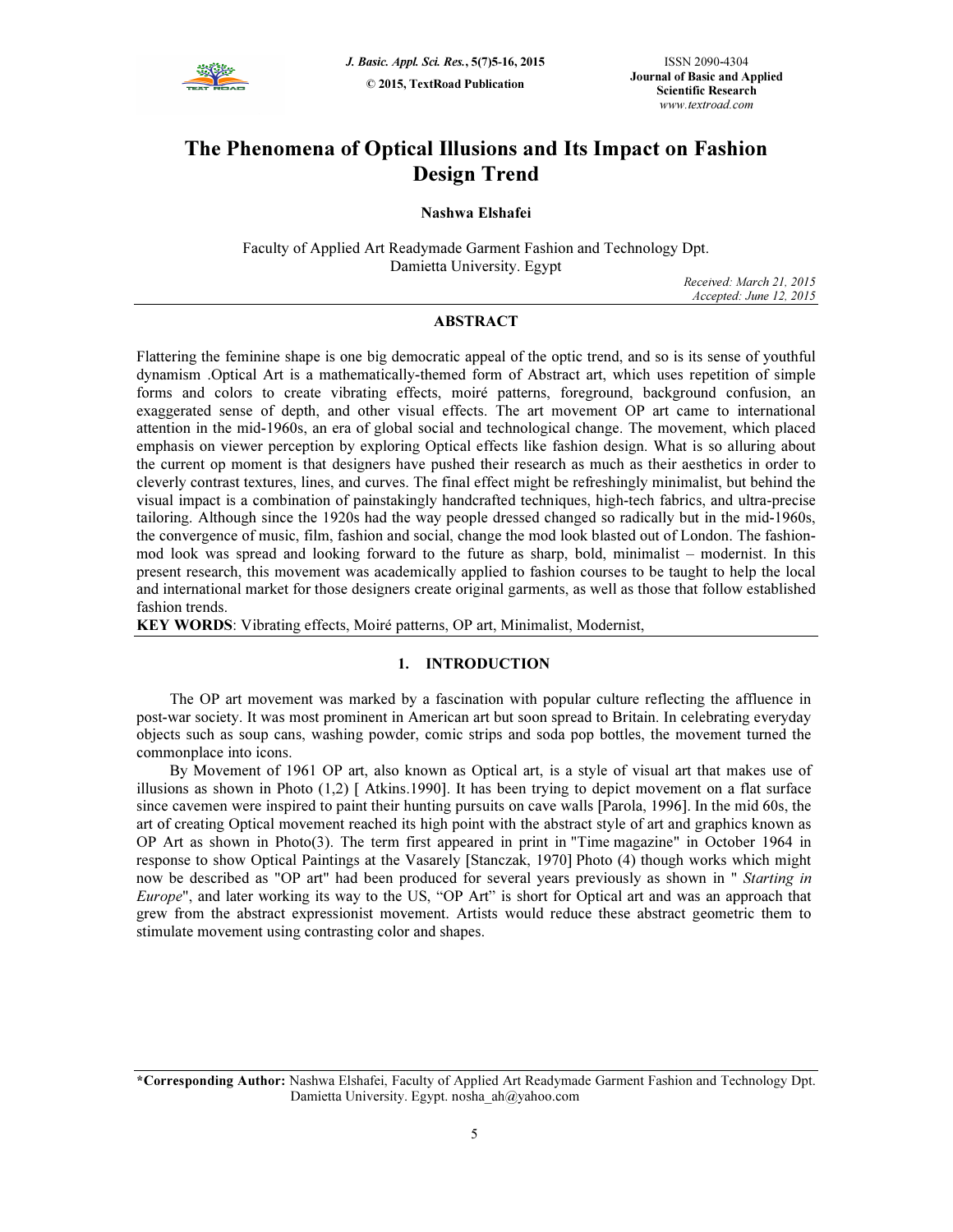

# The Phenomena of Optical Illusions and Its Impact on Fashion Design Trend

# Nashwa Elshafei

Faculty of Applied Art Readymade Garment Fashion and Technology Dpt. Damietta University. Egypt

Received: March 21, 2015 Accepted: June 12, 2015

# ABSTRACT

Flattering the feminine shape is one big democratic appeal of the optic trend, and so is its sense of youthful dynamism .Optical Art is a mathematically-themed form of Abstract art, which uses repetition of simple forms and colors to create vibrating effects, moiré patterns, foreground, background confusion, an exaggerated sense of depth, and other visual effects. The art movement OP art came to international attention in the mid-1960s, an era of global social and technological change. The movement, which placed emphasis on viewer perception by exploring Optical effects like fashion design. What is so alluring about the current op moment is that designers have pushed their research as much as their aesthetics in order to cleverly contrast textures, lines, and curves. The final effect might be refreshingly minimalist, but behind the visual impact is a combination of painstakingly handcrafted techniques, high-tech fabrics, and ultra-precise tailoring. Although since the 1920s had the way people dressed changed so radically but in the mid-1960s, the convergence of music, film, fashion and social, change the mod look blasted out of London. The fashionmod look was spread and looking forward to the future as sharp, bold, minimalist – modernist. In this present research, this movement was academically applied to fashion courses to be taught to help the local and international market for those designers create original garments, as well as those that follow established fashion trends.

KEY WORDS: Vibrating effects, Moiré patterns, OP art, Minimalist, Modernist,

# 1. INTRODUCTION

The OP art movement was marked by a fascination with popular culture reflecting the affluence in post-war society. It was most prominent in American art but soon spread to Britain. In celebrating everyday objects such as soup cans, washing powder, comic strips and soda pop bottles, the movement turned the commonplace into icons.

By Movement of 1961 OP art, also known as Optical art, is a style of visual art that makes use of illusions as shown in Photo (1,2) [ Atkins.1990]. It has been trying to depict movement on a flat surface since cavemen were inspired to paint their hunting pursuits on cave walls [Parola, 1996]. In the mid 60s, the art of creating Optical movement reached its high point with the abstract style of art and graphics known as OP Art as shown in Photo(3). The term first appeared in print in "Time magazine" in October 1964 in response to show Optical Paintings at the Vasarely [Stanczak, 1970] Photo (4) though works which might now be described as "OP art" had been produced for several years previously as shown in " Starting in Europe", and later working its way to the US, "OP Art" is short for Optical art and was an approach that grew from the abstract expressionist movement. Artists would reduce these abstract geometric them to stimulate movement using contrasting color and shapes.

<sup>\*</sup>Corresponding Author: Nashwa Elshafei, Faculty of Applied Art Readymade Garment Fashion and Technology Dpt. Damietta University. Egypt. nosha\_ah@yahoo.com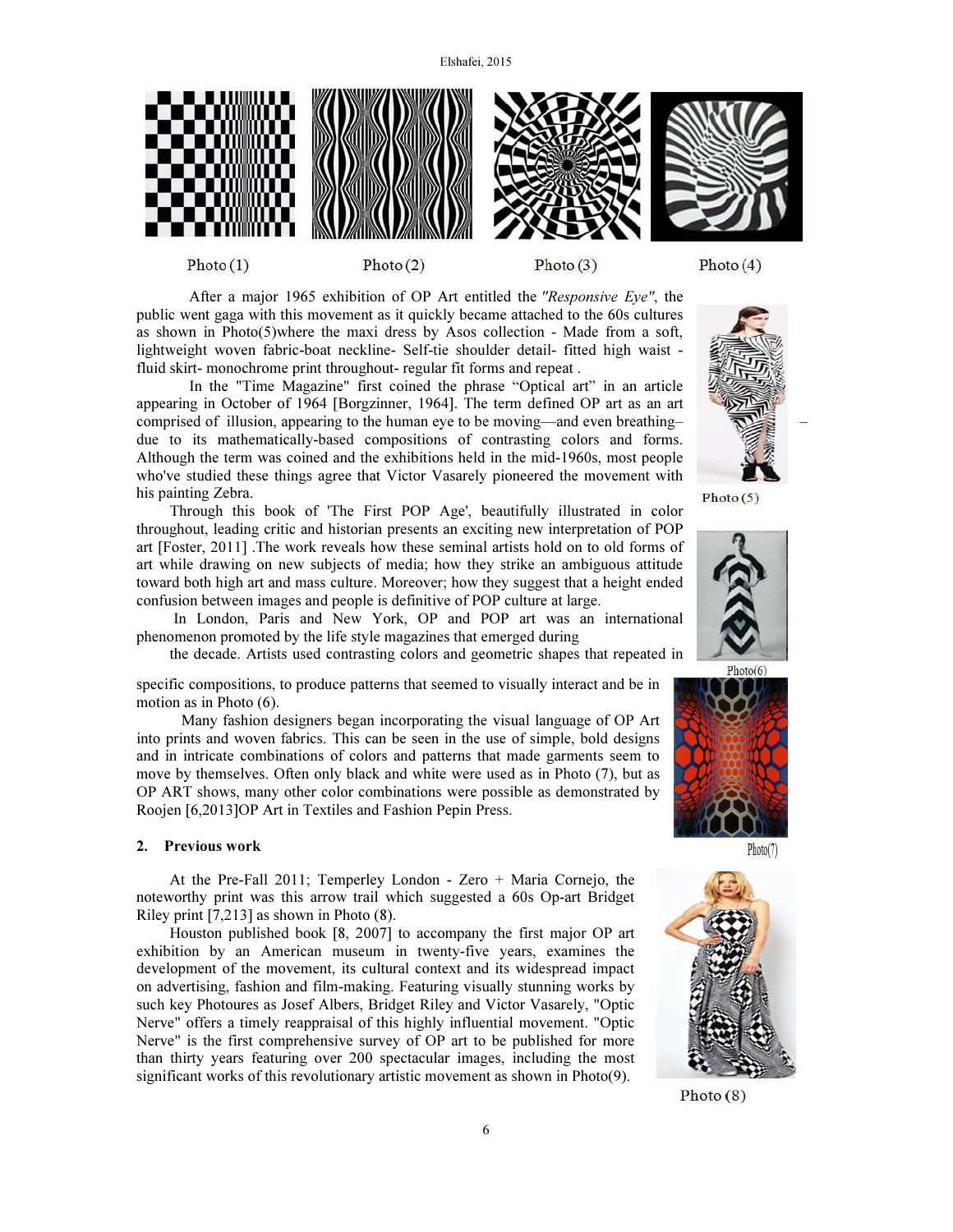

 $Photo(1)$ 

Photo $(2)$ 





 After a major 1965 exhibition of OP Art entitled the "Responsive Eye", the public went gaga with this movement as it quickly became attached to the 60s cultures as shown in Photo(5)where the maxi dress by Asos collection - Made from a soft, lightweight woven fabric-boat neckline- Self-tie shoulder detail- fitted high waist fluid skirt- monochrome print throughout- regular fit forms and repeat .

 In the "Time Magazine" first coined the phrase "Optical art" in an article appearing in October of 1964 [Borgzinner, 1964]. The term defined OP art as an art comprised of illusion, appearing to the human eye to be moving––and even breathing– – due to its mathematically-based compositions of contrasting colors and forms. Although the term was coined and the exhibitions held in the mid-1960s, most people who've studied these things agree that Victor Vasarely pioneered the movement with his painting Zebra.

Through this book of 'The First POP Age', beautifully illustrated in color throughout, leading critic and historian presents an exciting new interpretation of POP art [Foster, 2011] .The work reveals how these seminal artists hold on to old forms of art while drawing on new subjects of media; how they strike an ambiguous attitude toward both high art and mass culture. Moreover; how they suggest that a height ended confusion between images and people is definitive of POP culture at large.

 In London, Paris and New York, OP and POP art was an international phenomenon promoted by the life style magazines that emerged during

the decade. Artists used contrasting colors and geometric shapes that repeated in

specific compositions, to produce patterns that seemed to visually interact and be in motion as in Photo (6).

 Many fashion designers began incorporating the visual language of OP Art into prints and woven fabrics. This can be seen in the use of simple, bold designs and in intricate combinations of colors and patterns that made garments seem to move by themselves. Often only black and white were used as in Photo (7), but as OP ART shows, many other color combinations were possible as demonstrated by Roojen [6,2013]OP Art in Textiles and Fashion Pepin Press.

#### 2. Previous work

At the Pre-Fall 2011; Temperley London - Zero + Maria Cornejo, the noteworthy print was this arrow trail which suggested a 60s Op-art Bridget Riley print [7,213] as shown in Photo (8).

Houston published book [8, 2007] to accompany the first major OP art exhibition by an American museum in twenty-five years, examines the development of the movement, its cultural context and its widespread impact on advertising, fashion and film-making. Featuring visually stunning works by such key Photoures as Josef Albers, Bridget Riley and Victor Vasarely, "Optic Nerve" offers a timely reappraisal of this highly influential movement. "Optic Nerve" is the first comprehensive survey of OP art to be published for more than thirty years featuring over 200 spectacular images, including the most significant works of this revolutionary artistic movement as shown in Photo(9).



Photo $(5)$ 





 $Photo(7)$ 



 $Photo(8)$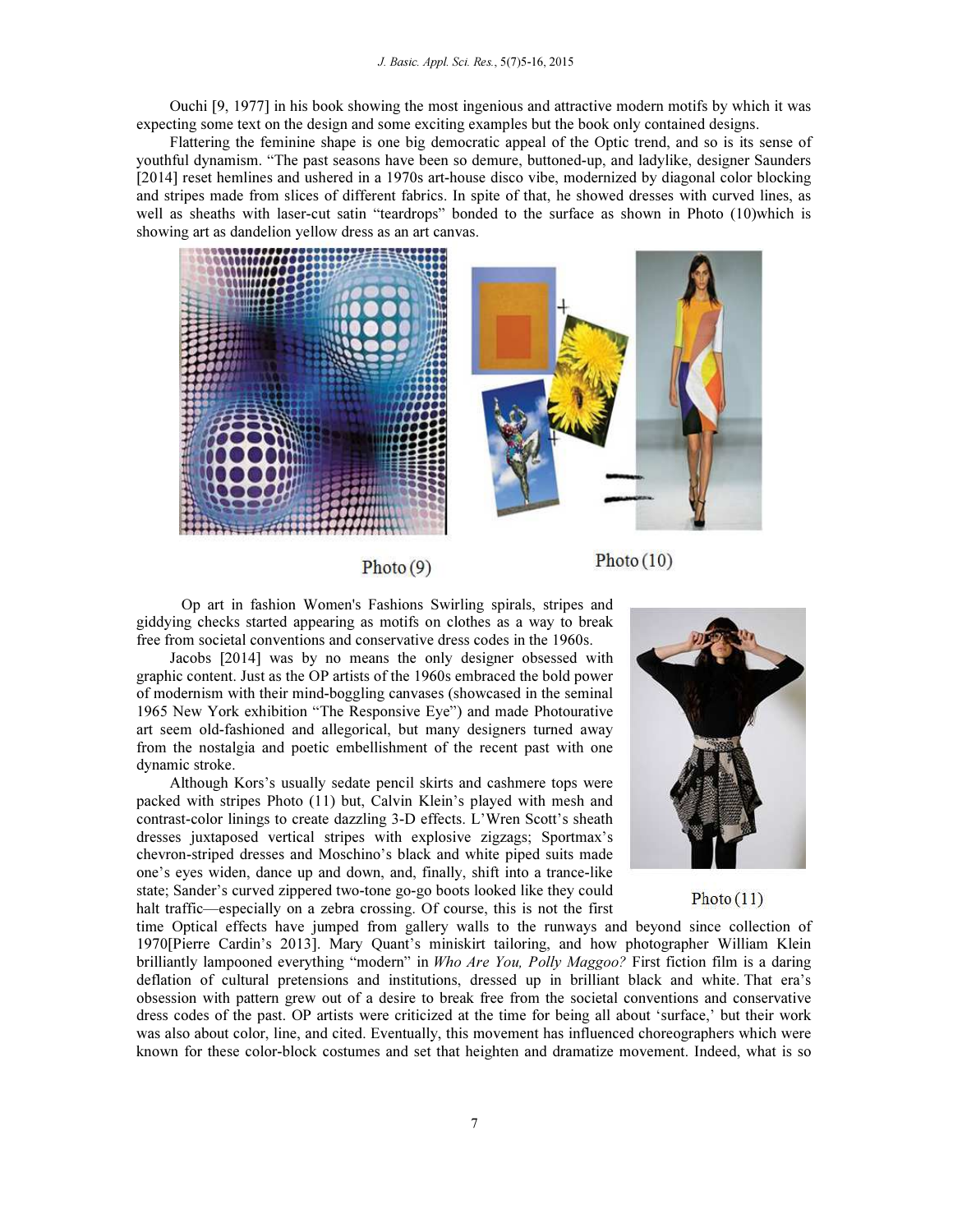Ouchi [9, 1977] in his book showing the most ingenious and attractive modern motifs by which it was expecting some text on the design and some exciting examples but the book only contained designs.

Flattering the feminine shape is one big democratic appeal of the Optic trend, and so is its sense of youthful dynamism. "The past seasons have been so demure, buttoned-up, and ladylike, designer Saunders [2014] reset hemlines and ushered in a 1970s art-house disco vibe, modernized by diagonal color blocking and stripes made from slices of different fabrics. In spite of that, he showed dresses with curved lines, as well as sheaths with laser-cut satin "teardrops" bonded to the surface as shown in Photo (10)which is showing art as dandelion yellow dress as an art canvas.





Photo $(9)$ 

 $Photo(10)$ 

 Op art in fashion Women's Fashions Swirling spirals, stripes and giddying checks started appearing as motifs on clothes as a way to break free from societal conventions and conservative dress codes in the 1960s.

Jacobs [2014] was by no means the only designer obsessed with graphic content. Just as the OP artists of the 1960s embraced the bold power of modernism with their mind-boggling canvases (showcased in the seminal 1965 New York exhibition "The Responsive Eye") and made Photourative art seem old-fashioned and allegorical, but many designers turned away from the nostalgia and poetic embellishment of the recent past with one dynamic stroke.

Although Kors's usually sedate pencil skirts and cashmere tops were packed with stripes Photo (11) but, Calvin Klein's played with mesh and contrast-color linings to create dazzling 3-D effects. L'Wren Scott's sheath dresses juxtaposed vertical stripes with explosive zigzags; Sportmax's chevron-striped dresses and Moschino's black and white piped suits made one's eyes widen, dance up and down, and, finally, shift into a trance-like state; Sander's curved zippered two-tone go-go boots looked like they could halt traffic—especially on a zebra crossing. Of course, this is not the first



# $Photo(11)$

time Optical effects have jumped from gallery walls to the runways and beyond since collection of 1970[Pierre Cardin's 2013]. Mary Quant's miniskirt tailoring, and how photographer William Klein brilliantly lampooned everything "modern" in Who Are You, Polly Maggoo? First fiction film is a daring deflation of cultural pretensions and institutions, dressed up in brilliant black and white. That era's obsession with pattern grew out of a desire to break free from the societal conventions and conservative dress codes of the past. OP artists were criticized at the time for being all about 'surface,' but their work was also about color, line, and cited. Eventually, this movement has influenced choreographers which were known for these color-block costumes and set that heighten and dramatize movement. Indeed, what is so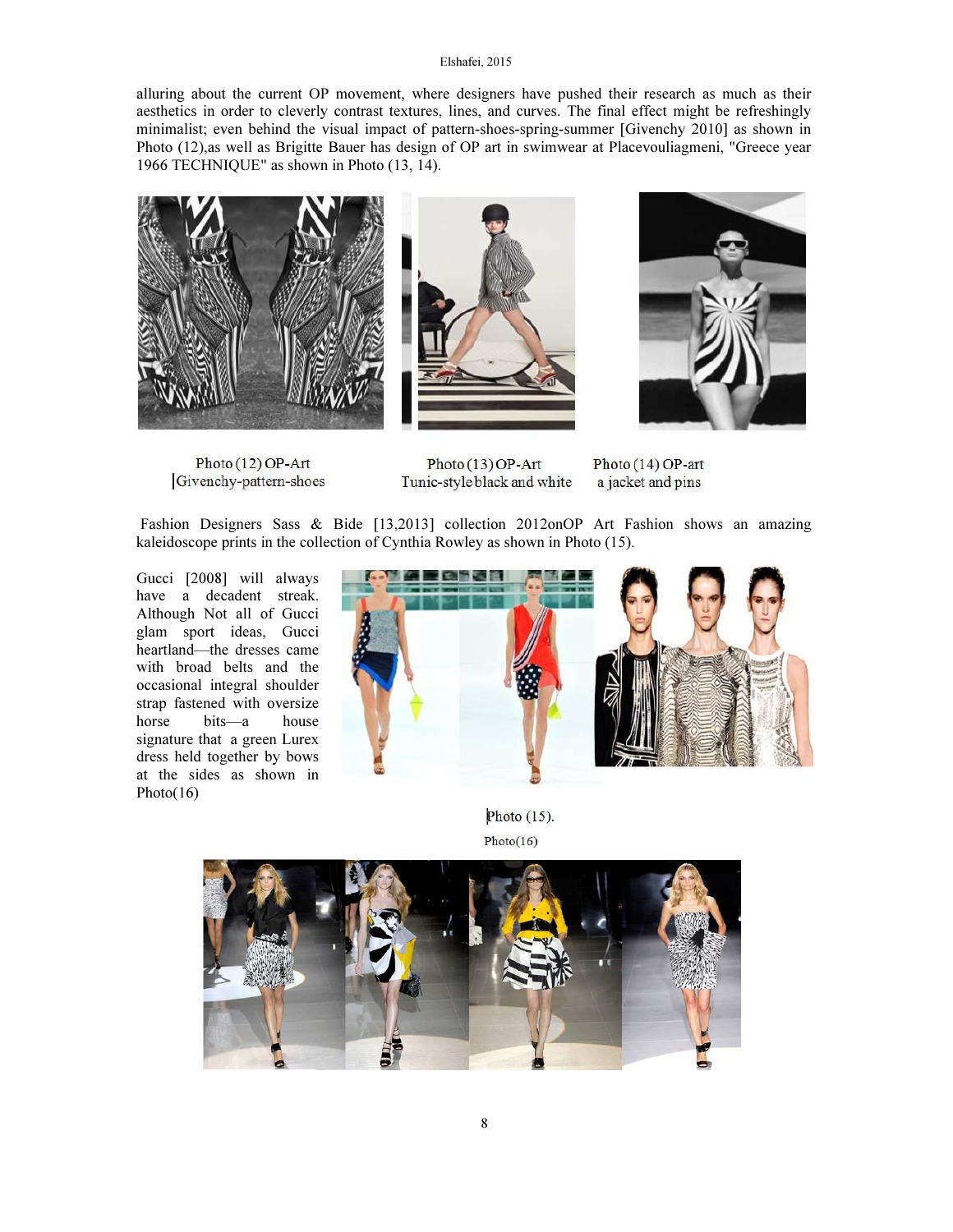alluring about the current OP movement, where designers have pushed their research as much as their aesthetics in order to cleverly contrast textures, lines, and curves. The final effect might be refreshingly minimalist; even behind the visual impact of pattern-shoes-spring-summer [Givenchy 2010] as shown in Photo (12),as well as Brigitte Bauer has design of OP art in swimwear at Placevouliagmeni, "Greece year 1966 TECHNIQUE" as shown in Photo (13, 14).







Photo (12) OP-Art Givenchy-pattern-shoes

Photo (13) OP-Art Tunic-style black and white

Photo (14) OP-art a jacket and pins

 Fashion Designers Sass & Bide [13,2013] collection 2012onOP Art Fashion shows an amazing kaleidoscope prints in the collection of Cynthia Rowley as shown in Photo (15).

Gucci [2008] will always have a decadent streak. Although Not all of Gucci glam sport ideas, Gucci heartland—the dresses came with broad belts and the occasional integral shoulder strap fastened with oversize horse bits—a house signature that a green Lurex dress held together by bows at the sides as shown in Photo(16)



Photo  $(15)$ .  $Photo(16)$ 

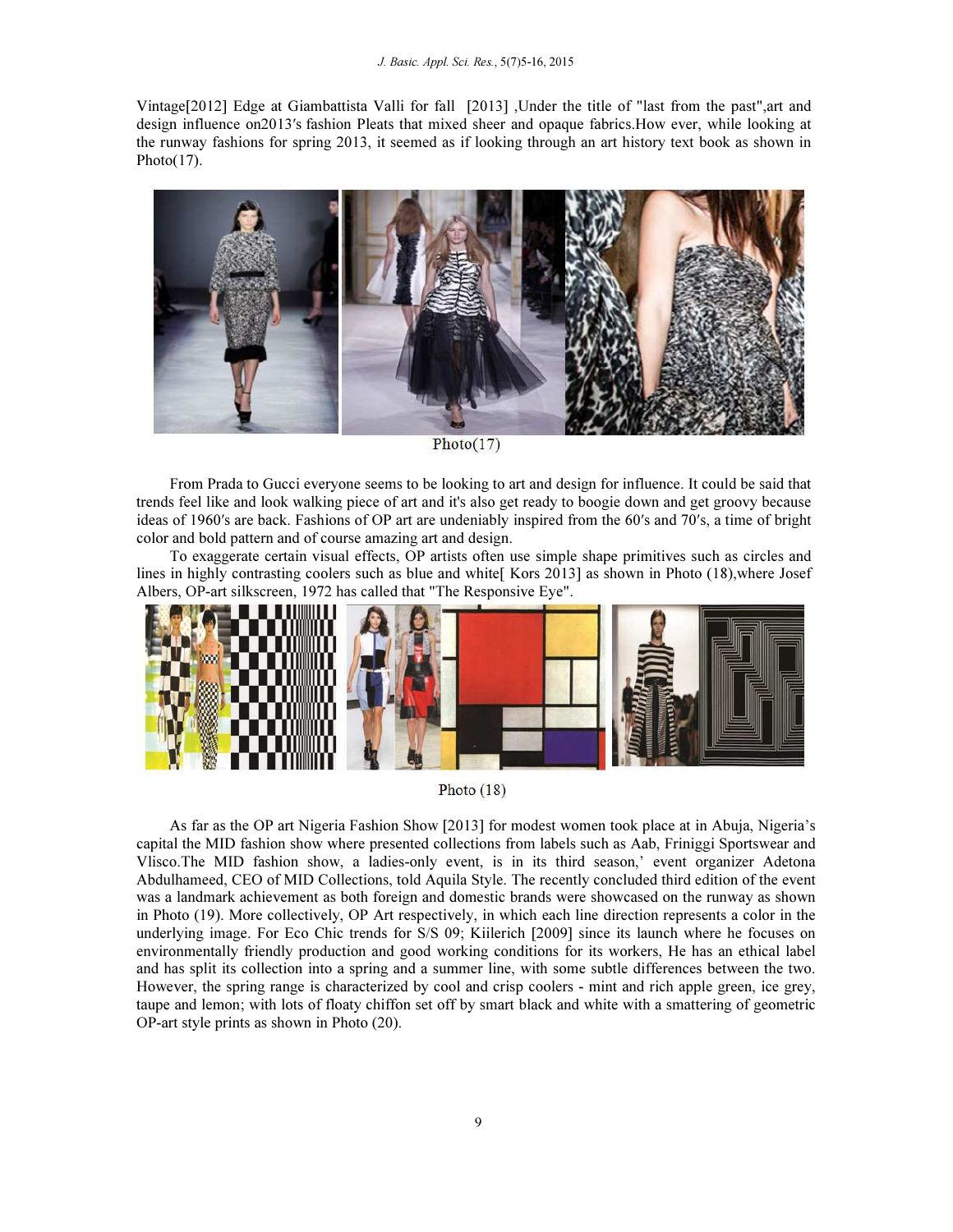Vintage[2012] Edge at Giambattista Valli for fall [2013] ,Under the title of "last from the past",art and design influence on2013′s fashion Pleats that mixed sheer and opaque fabrics.How ever, while looking at the runway fashions for spring 2013, it seemed as if looking through an art history text book as shown in Photo $(17)$ .



 $Photo(17)$ 

From Prada to Gucci everyone seems to be looking to art and design for influence. It could be said that trends feel like and look walking piece of art and it's also get ready to boogie down and get groovy because ideas of 1960′s are back. Fashions of OP art are undeniably inspired from the 60′s and 70′s, a time of bright color and bold pattern and of course amazing art and design.

To exaggerate certain visual effects, OP artists often use simple shape primitives such as circles and lines in highly contrasting coolers such as blue and white[ Kors 2013] as shown in Photo (18),where Josef Albers, OP-art silkscreen, 1972 has called that "The Responsive Eye".



Photo  $(18)$ 

As far as the OP art Nigeria Fashion Show [2013] for modest women took place at in Abuja, Nigeria's capital the MID fashion show where presented collections from labels such as Aab, Friniggi Sportswear and Vlisco.The MID fashion show, a ladies-only event, is in its third season,' event organizer Adetona Abdulhameed, CEO of MID Collections, told Aquila Style. The recently concluded third edition of the event was a landmark achievement as both foreign and domestic brands were showcased on the runway as shown in Photo (19). More collectively, OP Art respectively, in which each line direction represents a color in the underlying image. For Eco Chic trends for S/S 09; Kiilerich [2009] since its launch where he focuses on environmentally friendly production and good working conditions for its workers, He has an ethical label and has split its collection into a spring and a summer line, with some subtle differences between the two. However, the spring range is characterized by cool and crisp coolers - mint and rich apple green, ice grey, taupe and lemon; with lots of floaty chiffon set off by smart black and white with a smattering of geometric OP-art style prints as shown in Photo (20).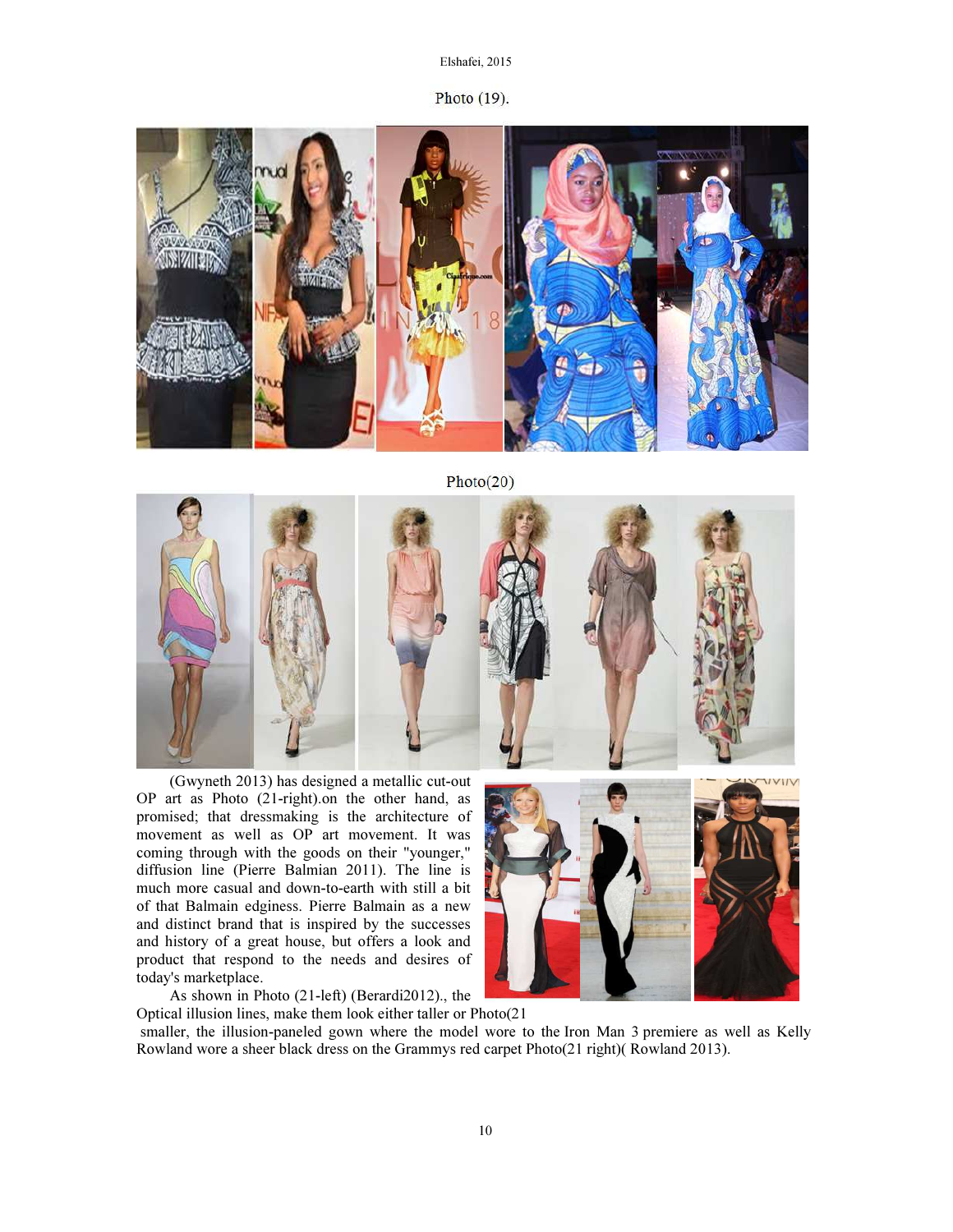Photo (19).



 $Photo(20)$ 



(Gwyneth 2013) has designed a metallic cut-out OP art as Photo (21-right).on the other hand, as promised; that dressmaking is the architecture of movement as well as OP art movement. It was coming through with the goods on their "younger," diffusion line (Pierre Balmian 2011). The line is much more casual and down-to-earth with still a bit of that Balmain edginess. Pierre Balmain as a new and distinct brand that is inspired by the successes and history of a great house, but offers a look and product that respond to the needs and desires of today's marketplace.



As shown in Photo (21-left) (Berardi2012)., the

Optical illusion lines, make them look either taller or Photo(21 smaller, the illusion-paneled gown where the model wore to the Iron Man 3 premiere as well as Kelly Rowland wore a sheer black dress on the Grammys red carpet Photo(21 right)( Rowland 2013).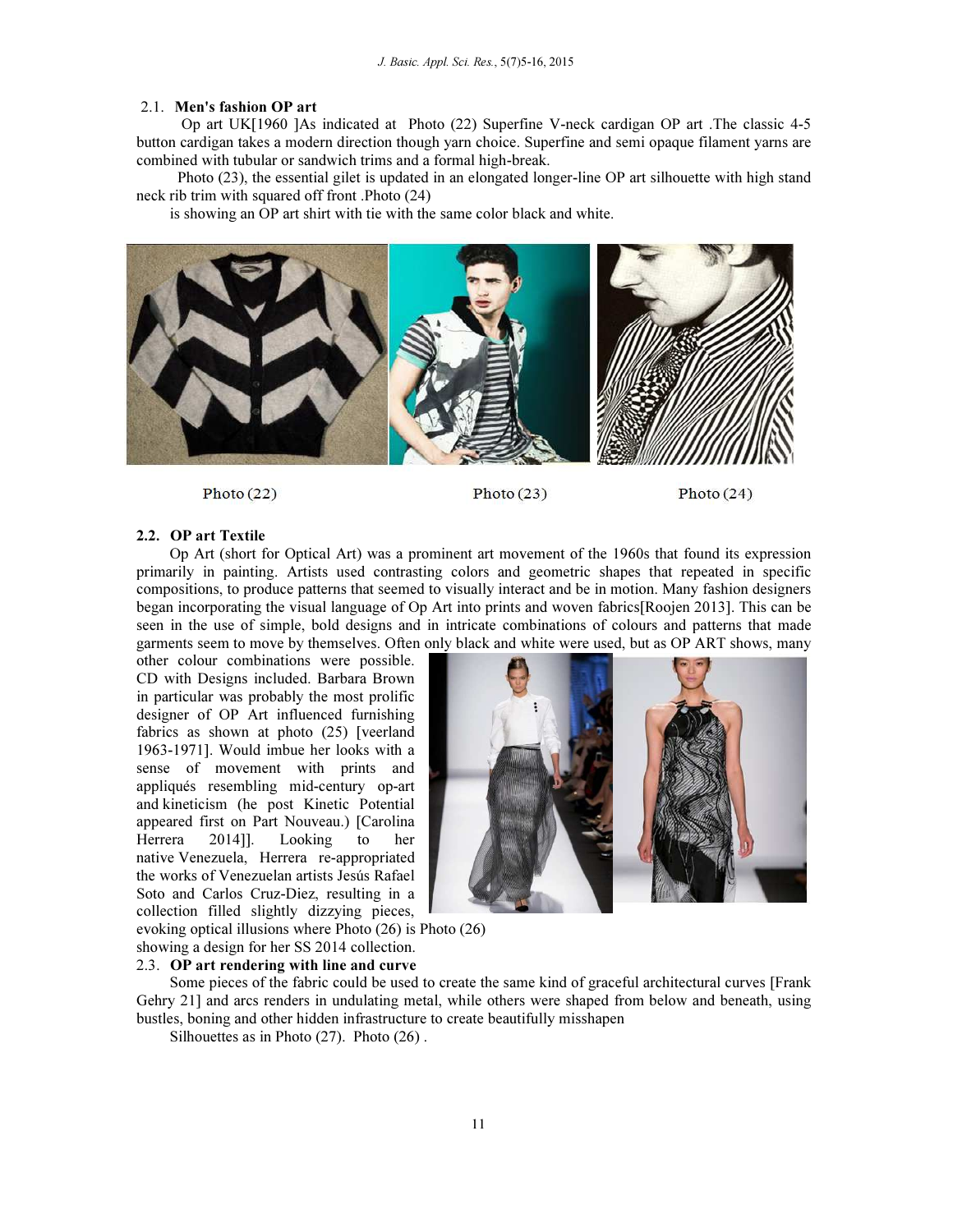#### 2.1. Men's fashion OP art

 Op art UK[1960 ]As indicated at Photo (22) Superfine V-neck cardigan OP art .The classic 4-5 button cardigan takes a modern direction though yarn choice. Superfine and semi opaque filament yarns are combined with tubular or sandwich trims and a formal high-break.

 Photo (23), the essential gilet is updated in an elongated longer-line OP art silhouette with high stand neck rib trim with squared off front .Photo (24)

is showing an OP art shirt with tie with the same color black and white.



Photo $(22)$ 

### Photo $(23)$

Photo $(24)$ 

#### 2.2. OP art Textile

Op Art (short for Optical Art) was a prominent art movement of the 1960s that found its expression primarily in painting. Artists used contrasting colors and geometric shapes that repeated in specific compositions, to produce patterns that seemed to visually interact and be in motion. Many fashion designers began incorporating the visual language of Op Art into prints and woven fabrics[Roojen 2013]. This can be seen in the use of simple, bold designs and in intricate combinations of colours and patterns that made garments seem to move by themselves. Often only black and white were used, but as OP ART shows, many

other colour combinations were possible. CD with Designs included. Barbara Brown in particular was probably the most prolific designer of OP Art influenced furnishing fabrics as shown at photo (25) [veerland 1963-1971]. Would imbue her looks with a sense of movement with prints and appliqués resembling mid-century op-art and kineticism (he post Kinetic Potential appeared first on Part Nouveau.) [Carolina Herrera 2014]]. Looking to her native Venezuela, Herrera re-appropriated the works of Venezuelan artists Jesús Rafael Soto and Carlos Cruz-Diez, resulting in a collection filled slightly dizzying pieces,

![](_page_6_Picture_12.jpeg)

evoking optical illusions where Photo (26) is Photo (26) showing a design for her SS 2014 collection.

#### 2.3. OP art rendering with line and curve

Some pieces of the fabric could be used to create the same kind of graceful architectural curves [Frank Gehry 21] and arcs renders in undulating metal, while others were shaped from below and beneath, using bustles, boning and other hidden infrastructure to create beautifully misshapen

Silhouettes as in Photo (27). Photo (26).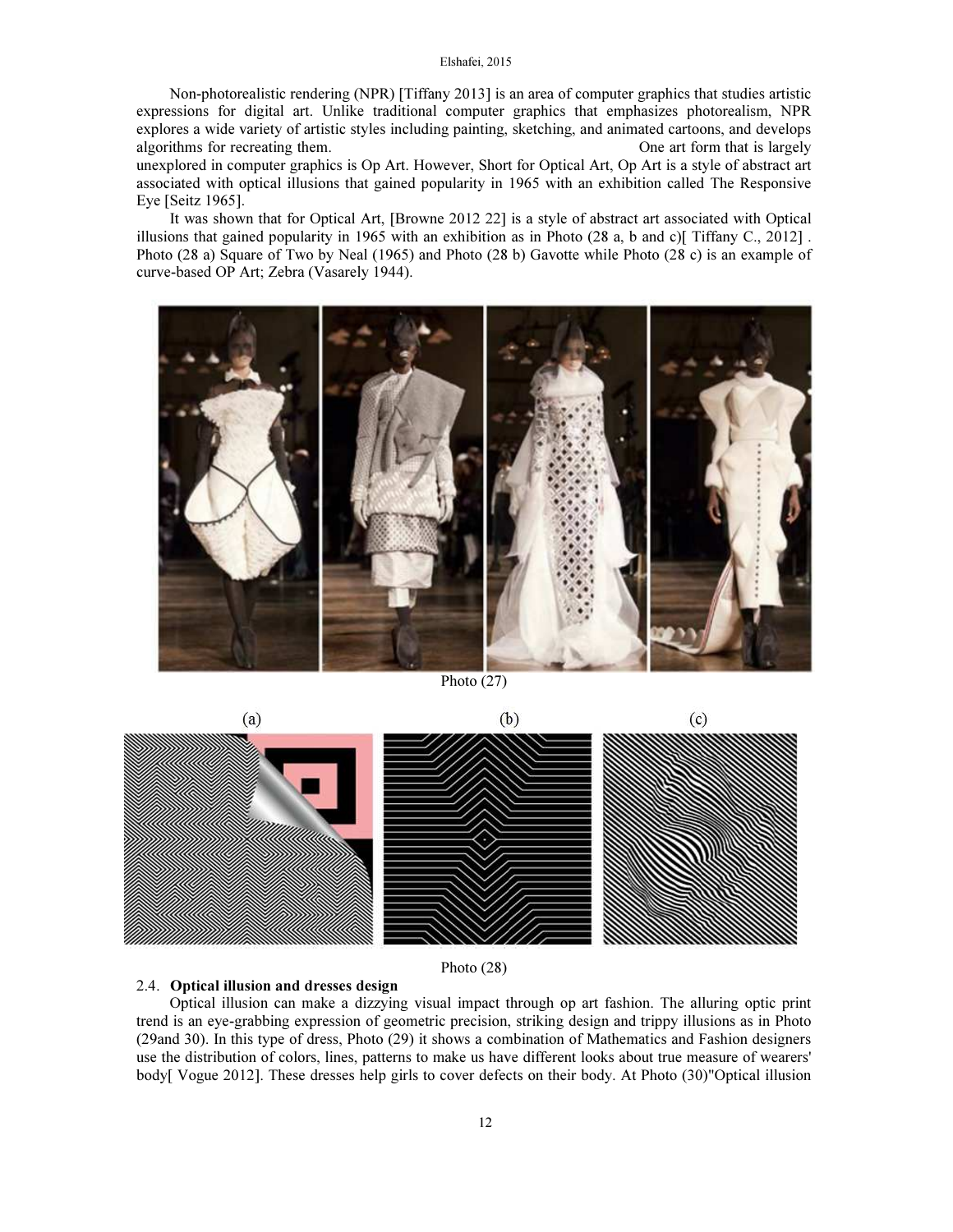Non-photorealistic rendering (NPR) [Tiffany 2013] is an area of computer graphics that studies artistic expressions for digital art. Unlike traditional computer graphics that emphasizes photorealism, NPR explores a wide variety of artistic styles including painting, sketching, and animated cartoons, and develops algorithms for recreating them. One art form that is largely

unexplored in computer graphics is Op Art. However, Short for Optical Art, Op Art is a style of abstract art associated with optical illusions that gained popularity in 1965 with an exhibition called The Responsive Eye [Seitz 1965].

It was shown that for Optical Art, [Browne 2012 22] is a style of abstract art associated with Optical illusions that gained popularity in 1965 with an exhibition as in Photo  $(28 \text{ a}, \text{ b} \text{ and } \text{c})$ [ Tiffany C., 2012]. Photo (28 a) Square of Two by Neal (1965) and Photo (28 b) Gavotte while Photo (28 c) is an example of curve-based OP Art; Zebra (Vasarely 1944).

![](_page_7_Picture_4.jpeg)

Photo (27)

![](_page_7_Figure_6.jpeg)

Photo (28)

# 2.4. Optical illusion and dresses design

Optical illusion can make a dizzying visual impact through op art fashion. The alluring optic print trend is an eye-grabbing expression of geometric precision, striking design and trippy illusions as in Photo (29and 30). In this type of dress, Photo (29) it shows a combination of Mathematics and Fashion designers use the distribution of colors, lines, patterns to make us have different looks about true measure of wearers' body[ Vogue 2012]. These dresses help girls to cover defects on their body. At Photo (30)"Optical illusion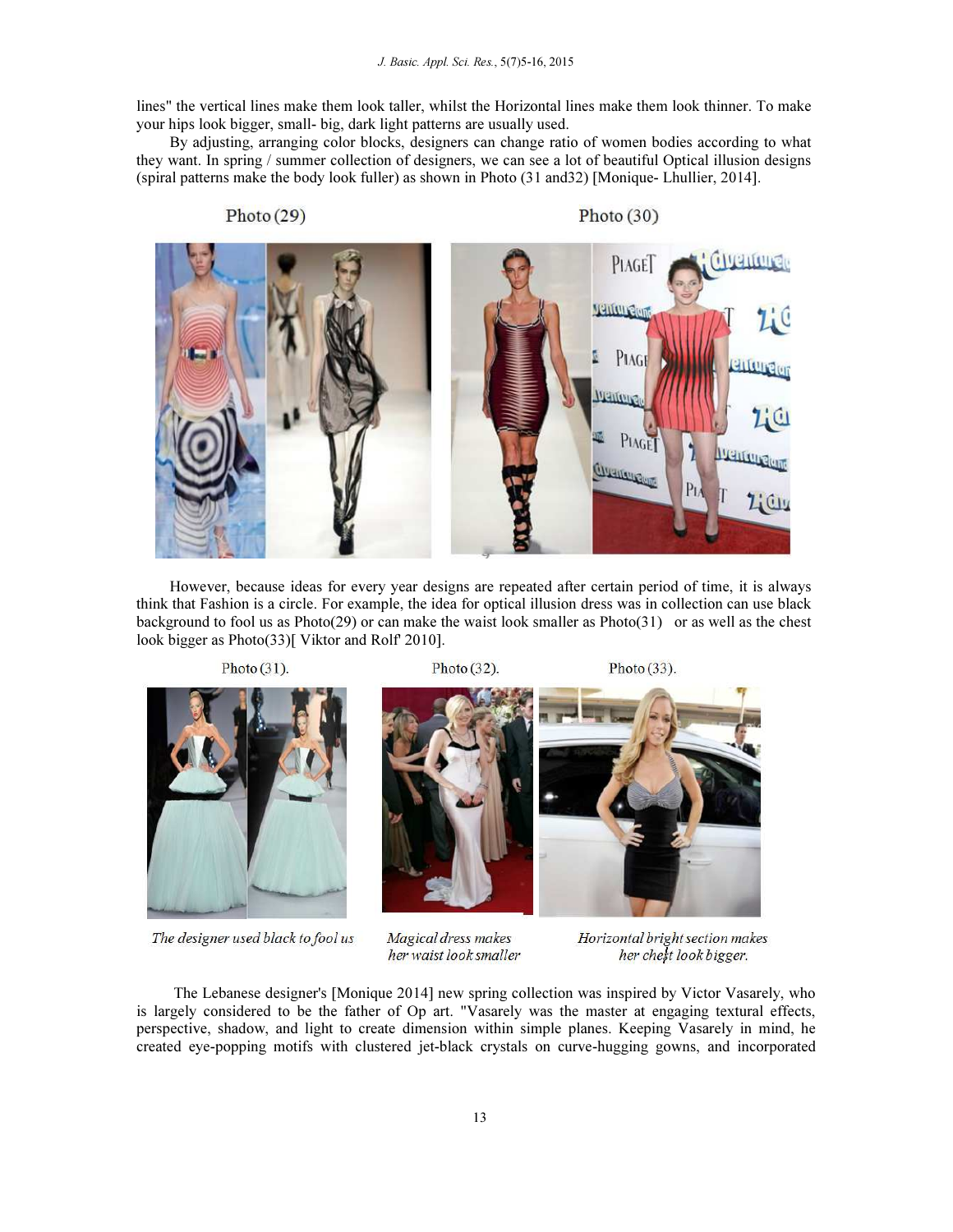lines" the vertical lines make them look taller, whilst the Horizontal lines make them look thinner. To make your hips look bigger, small- big, dark light patterns are usually used.

By adjusting, arranging color blocks, designers can change ratio of women bodies according to what they want. In spring / summer collection of designers, we can see a lot of beautiful Optical illusion designs (spiral patterns make the body look fuller) as shown in Photo (31 and32) [Monique- Lhullier, 2014].

Photo $(29)$ Photo  $(30)$ **THRITOR** PIAGE **Venture**ly PIAGI PIAGE Granting

However, because ideas for every year designs are repeated after certain period of time, it is always think that Fashion is a circle. For example, the idea for optical illusion dress was in collection can use black background to fool us as Photo(29) or can make the waist look smaller as Photo(31) or as well as the chest look bigger as Photo(33)[ Viktor and Rolf' 2010].

Photo  $(31)$ .

Photo  $(32)$ .

Photo $(33)$ .

![](_page_8_Picture_8.jpeg)

The designer used black to fool us

**Magical dress makes** her waist look smaller

Horizontal bright section makes her chest look bigger.

 The Lebanese designer's [Monique 2014] new spring collection was inspired by Victor Vasarely, who is largely considered to be the father of Op art. "Vasarely was the master at engaging textural effects, perspective, shadow, and light to create dimension within simple planes. Keeping Vasarely in mind, he created eye-popping motifs with clustered jet-black crystals on curve-hugging gowns, and incorporated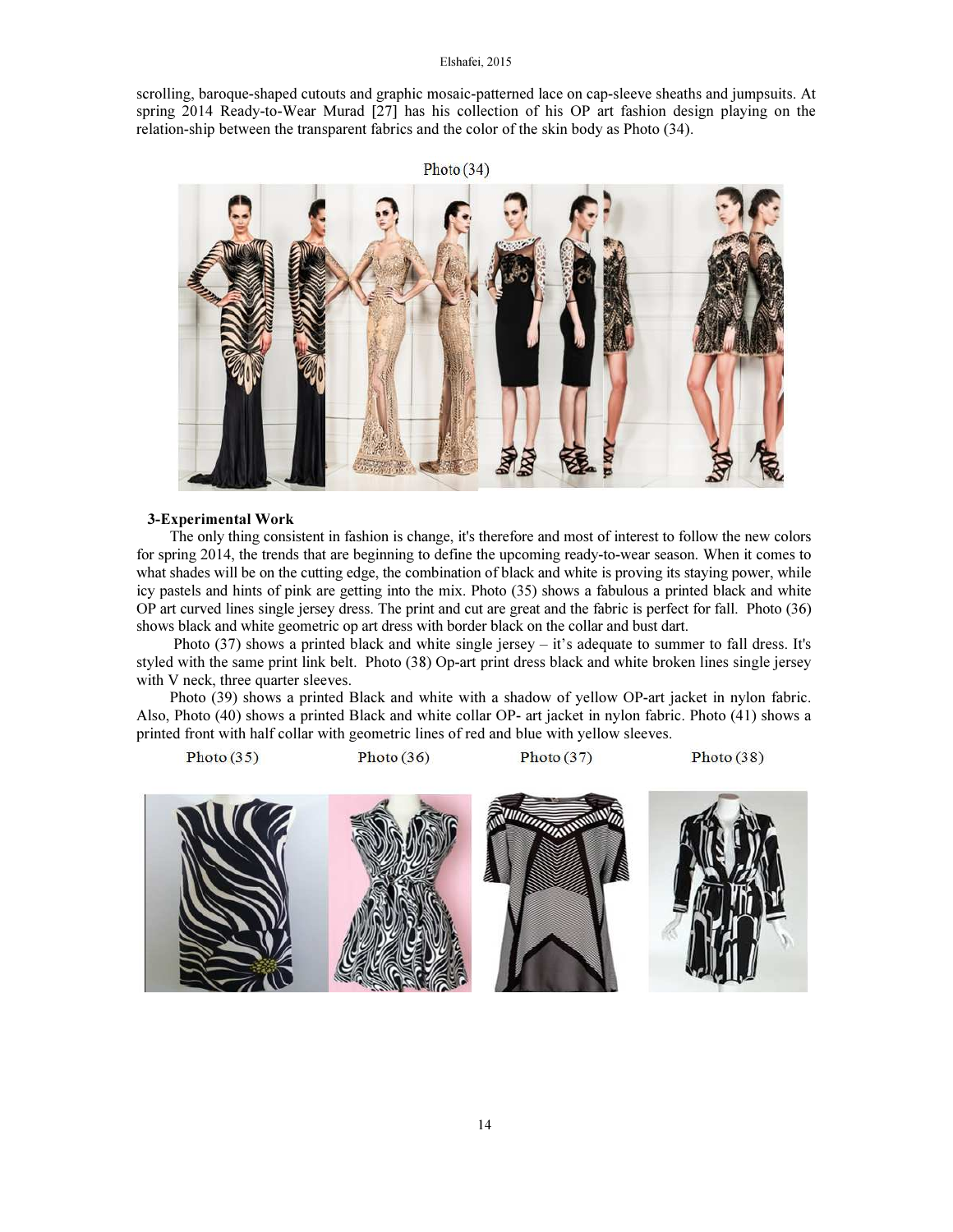scrolling, baroque-shaped cutouts and graphic mosaic-patterned lace on cap-sleeve sheaths and jumpsuits. At spring 2014 Ready-to-Wear Murad [27] has his collection of his OP art fashion design playing on the relation-ship between the transparent fabrics and the color of the skin body as Photo (34).

![](_page_9_Picture_2.jpeg)

#### 3-Experimental Work

The only thing consistent in fashion is change, it's therefore and most of interest to follow the new colors for spring 2014, the trends that are beginning to define the upcoming ready-to-wear season. When it comes to what shades will be on the cutting edge, the combination of black and white is proving its staying power, while icy pastels and hints of pink are getting into the mix. Photo (35) shows a fabulous a printed black and white OP art curved lines single jersey dress. The print and cut are great and the fabric is perfect for fall. Photo (36) shows black and white geometric op art dress with border black on the collar and bust dart.

 Photo (37) shows a printed black and white single jersey – it's adequate to summer to fall dress. It's styled with the same print link belt. Photo (38) Op-art print dress black and white broken lines single jersey with V neck, three quarter sleeves.

Photo (39) shows a printed Black and white with a shadow of yellow OP-art jacket in nylon fabric. Also, Photo (40) shows a printed Black and white collar OP- art jacket in nylon fabric. Photo (41) shows a printed front with half collar with geometric lines of red and blue with yellow sleeves.

![](_page_9_Picture_7.jpeg)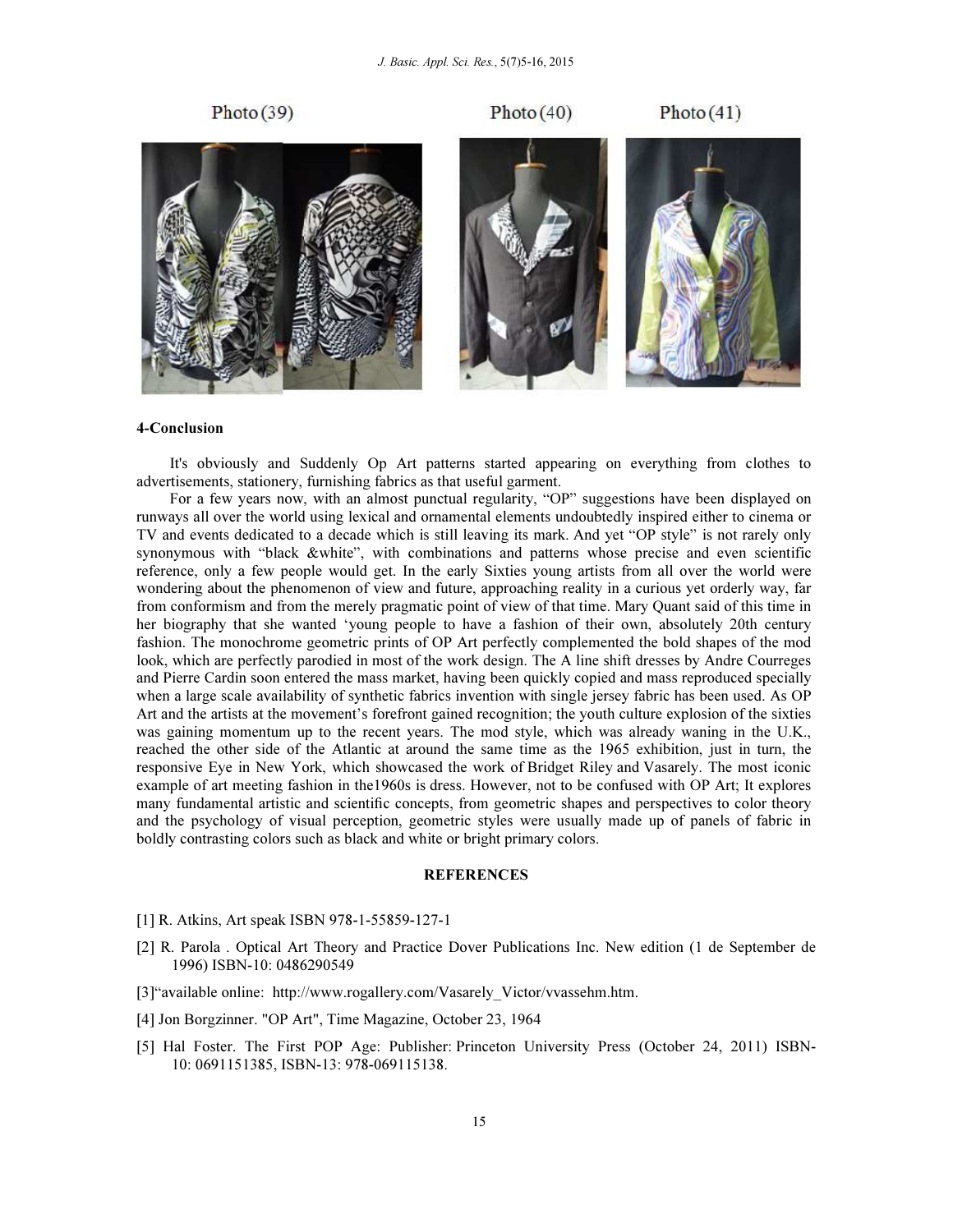![](_page_10_Picture_1.jpeg)

# 4-Conclusion

It's obviously and Suddenly Op Art patterns started appearing on everything from clothes to advertisements, stationery, furnishing fabrics as that useful garment.

For a few years now, with an almost punctual regularity, "OP" suggestions have been displayed on runways all over the world using lexical and ornamental elements undoubtedly inspired either to cinema or TV and events dedicated to a decade which is still leaving its mark. And yet "OP style" is not rarely only synonymous with "black &white", with combinations and patterns whose precise and even scientific reference, only a few people would get. In the early Sixties young artists from all over the world were wondering about the phenomenon of view and future, approaching reality in a curious yet orderly way, far from conformism and from the merely pragmatic point of view of that time. Mary Quant said of this time in her biography that she wanted 'young people to have a fashion of their own, absolutely 20th century fashion. The monochrome geometric prints of OP Art perfectly complemented the bold shapes of the mod look, which are perfectly parodied in most of the work design. The A line shift dresses by Andre Courreges and Pierre Cardin soon entered the mass market, having been quickly copied and mass reproduced specially when a large scale availability of synthetic fabrics invention with single jersey fabric has been used. As OP Art and the artists at the movement's forefront gained recognition; the youth culture explosion of the sixties was gaining momentum up to the recent years. The mod style, which was already waning in the U.K., reached the other side of the Atlantic at around the same time as the 1965 exhibition, just in turn, the responsive Eye in New York, which showcased the work of Bridget Riley and Vasarely. The most iconic example of art meeting fashion in the1960s is dress. However, not to be confused with OP Art; It explores many fundamental artistic and scientific concepts, from geometric shapes and perspectives to color theory and the psychology of visual perception, geometric styles were usually made up of panels of fabric in boldly contrasting colors such as black and white or bright primary colors.

#### **REFERENCES**

- [1] R. Atkins, Art speak ISBN 978-1-55859-127-1
- [2] R. Parola . Optical Art Theory and Practice Dover Publications Inc. New edition (1 de September de 1996) ISBN-10: 0486290549
- [3]"available online: http://www.rogallery.com/Vasarely\_Victor/vvassehm.htm.
- [4] Jon Borgzinner. "OP Art", Time Magazine, October 23, 1964
- [5] Hal Foster. The First POP Age: Publisher: Princeton University Press (October 24, 2011) ISBN-10: 0691151385, ISBN-13: 978-069115138.